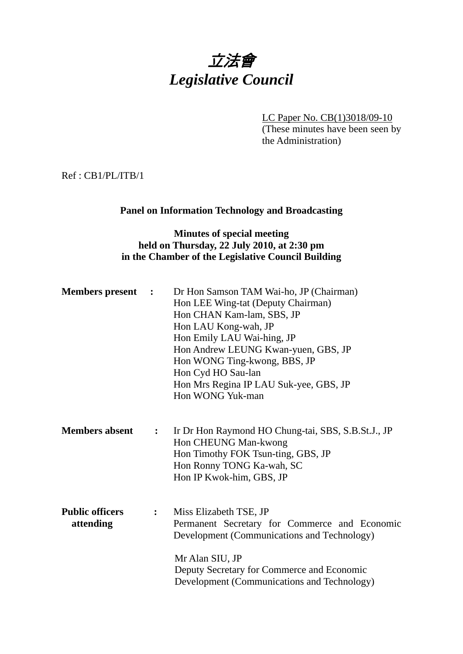# 立法會 *Legislative Council*

LC Paper No. CB(1)3018/09-10 (These minutes have been seen by the Administration)

Ref : CB1/PL/ITB/1

## **Panel on Information Technology and Broadcasting**

## **Minutes of special meeting held on Thursday, 22 July 2010, at 2:30 pm in the Chamber of the Legislative Council Building**

| <b>Members</b> present              | $\ddot{\cdot}$ | Dr Hon Samson TAM Wai-ho, JP (Chairman)<br>Hon LEE Wing-tat (Deputy Chairman)<br>Hon CHAN Kam-lam, SBS, JP<br>Hon LAU Kong-wah, JP<br>Hon Emily LAU Wai-hing, JP<br>Hon Andrew LEUNG Kwan-yuen, GBS, JP<br>Hon WONG Ting-kwong, BBS, JP<br>Hon Cyd HO Sau-lan<br>Hon Mrs Regina IP LAU Suk-yee, GBS, JP<br>Hon WONG Yuk-man |
|-------------------------------------|----------------|-----------------------------------------------------------------------------------------------------------------------------------------------------------------------------------------------------------------------------------------------------------------------------------------------------------------------------|
| <b>Members absent</b>               | $\ddot{\cdot}$ | Ir Dr Hon Raymond HO Chung-tai, SBS, S.B.St.J., JP<br>Hon CHEUNG Man-kwong<br>Hon Timothy FOK Tsun-ting, GBS, JP<br>Hon Ronny TONG Ka-wah, SC<br>Hon IP Kwok-him, GBS, JP                                                                                                                                                   |
| <b>Public officers</b><br>attending | $\ddot{\cdot}$ | Miss Elizabeth TSE, JP<br>Permanent Secretary for Commerce and Economic<br>Development (Communications and Technology)<br>Mr Alan SIU, JP<br>Deputy Secretary for Commerce and Economic<br>Development (Communications and Technology)                                                                                      |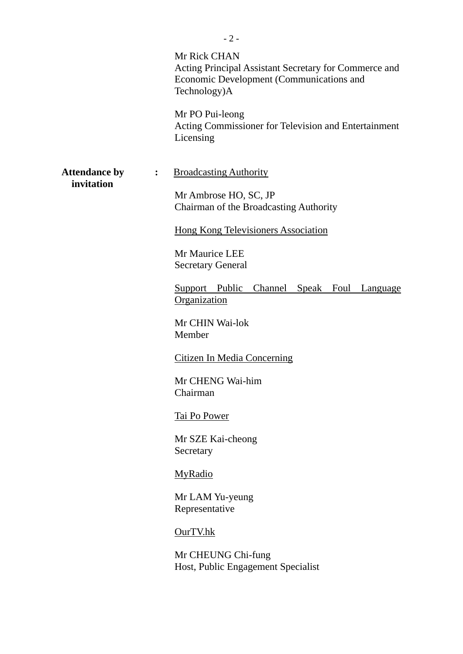|                                    |                        | $-2-$                                                                                                                             |
|------------------------------------|------------------------|-----------------------------------------------------------------------------------------------------------------------------------|
|                                    |                        | Mr Rick CHAN<br>Acting Principal Assistant Secretary for Commerce and<br>Economic Development (Communications and<br>Technology)A |
|                                    |                        | Mr PO Pui-leong<br>Acting Commissioner for Television and Entertainment<br>Licensing                                              |
| <b>Attendance by</b><br>invitation | : $\ddot{\phantom{a}}$ | <b>Broadcasting Authority</b>                                                                                                     |
|                                    |                        | Mr Ambrose HO, SC, JP<br>Chairman of the Broadcasting Authority                                                                   |
|                                    |                        | <b>Hong Kong Televisioners Association</b>                                                                                        |
|                                    |                        | Mr Maurice LEE<br><b>Secretary General</b>                                                                                        |
|                                    |                        | Support Public Channel Speak Foul Language<br>Organization                                                                        |
|                                    |                        | Mr CHIN Wai-lok<br>Member                                                                                                         |
|                                    |                        | <b>Citizen In Media Concerning</b>                                                                                                |
|                                    |                        | Mr CHENG Wai-him<br>Chairman                                                                                                      |
|                                    |                        | <b>Tai Po Power</b>                                                                                                               |
|                                    |                        | Mr SZE Kai-cheong<br>Secretary                                                                                                    |
|                                    |                        | <b>MyRadio</b>                                                                                                                    |
|                                    |                        | Mr LAM Yu-yeung<br>Representative                                                                                                 |
|                                    |                        | OurTV.hk                                                                                                                          |
|                                    |                        | Mr CHEUNG Chi-fung<br>Host, Public Engagement Specialist                                                                          |
|                                    |                        |                                                                                                                                   |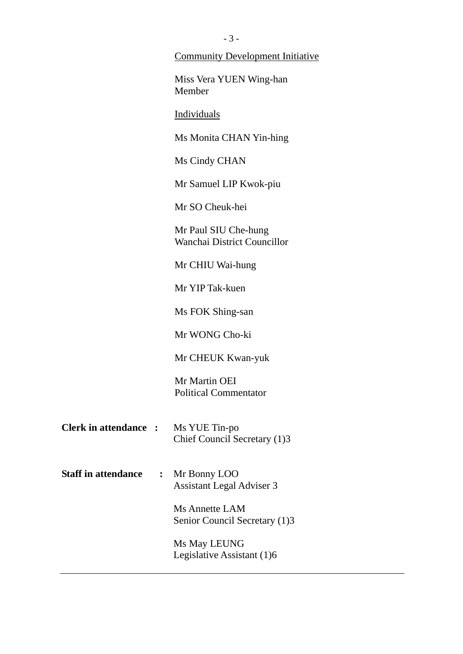|                              |                | <b>Community Development Initiative</b>                |
|------------------------------|----------------|--------------------------------------------------------|
|                              |                | Miss Vera YUEN Wing-han<br>Member                      |
|                              |                | Individuals                                            |
|                              |                | Ms Monita CHAN Yin-hing                                |
|                              |                | Ms Cindy CHAN                                          |
|                              |                | Mr Samuel LIP Kwok-piu                                 |
|                              |                | Mr SO Cheuk-hei                                        |
|                              |                | Mr Paul SIU Che-hung<br>Wanchai District Councillor    |
|                              |                | Mr CHIU Wai-hung                                       |
|                              |                | Mr YIP Tak-kuen                                        |
|                              |                | Ms FOK Shing-san                                       |
|                              |                | Mr WONG Cho-ki                                         |
|                              |                | Mr CHEUK Kwan-yuk                                      |
|                              |                | Mr Martin OEI<br><b>Political Commentator</b>          |
| <b>Clerk in attendance :</b> |                | Ms YUE Tin-po<br>Chief Council Secretary (1)3          |
| <b>Staff in attendance</b>   | $\ddot{\cdot}$ | Mr Bonny LOO<br><b>Assistant Legal Adviser 3</b>       |
|                              |                | <b>Ms Annette LAM</b><br>Senior Council Secretary (1)3 |
|                              |                | Ms May LEUNG<br>Legislative Assistant (1)6             |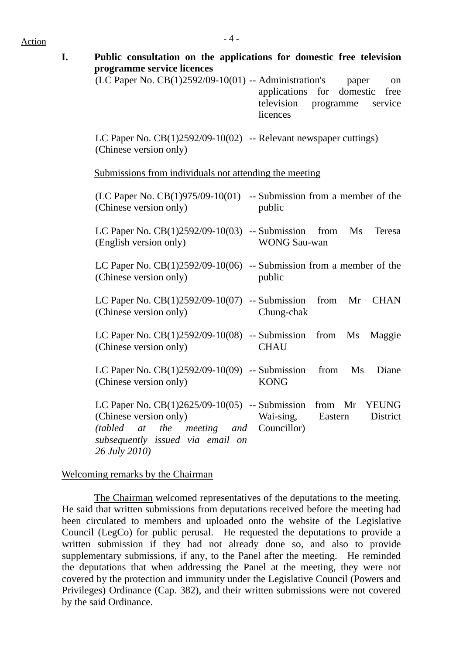| programme service licences                                                                                                                                                | Public consultation on the applications for domestic free television                            |
|---------------------------------------------------------------------------------------------------------------------------------------------------------------------------|-------------------------------------------------------------------------------------------------|
| $(LC$ Paper No. $CB(1)2592/09-10(01)$ -- Administration's                                                                                                                 | paper<br>on<br>applications for domestic<br>free<br>television programme<br>service<br>licences |
| LC Paper No. $CB(1)2592/09-10(02)$ -- Relevant newspaper cuttings)<br>(Chinese version only)                                                                              |                                                                                                 |
| Submissions from individuals not attending the meeting                                                                                                                    |                                                                                                 |
| (Chinese version only)                                                                                                                                                    | $(LC$ Paper No. $CB(1)975/09-10(01)$ -- Submission from a member of the<br>public               |
| LC Paper No. $CB(1)2592/09-10(03)$ -- Submission from<br>(English version only)                                                                                           | Ms<br>Teresa<br><b>WONG Sau-wan</b>                                                             |
| (Chinese version only)                                                                                                                                                    | LC Paper No. $CB(1)2592/09-10(06)$ -- Submission from a member of the<br>public                 |
| LC Paper No. $CB(1)2592/09-10(07)$ -- Submission<br>(Chinese version only)                                                                                                | from Mr<br><b>CHAN</b><br>Chung-chak                                                            |
| LC Paper No. $CB(1)2592/09-10(08)$ -- Submission from Ms<br>(Chinese version only)                                                                                        | Maggie<br><b>CHAU</b>                                                                           |
| LC Paper No. $CB(1)2592/09-10(09)$ -- Submission from Ms<br>(Chinese version only)                                                                                        | Diane<br><b>KONG</b>                                                                            |
| LC Paper No. $CB(1)2625/09-10(05)$ -- Submission<br>(Chinese version only)<br>(tabled at the meeting and Councillor)<br>subsequently issued via email on<br>26 July 2010) | from Mr YEUNG<br>Wai-sing,<br>District<br>Eastern                                               |

#### Welcoming remarks by the Chairman

 The Chairman welcomed representatives of the deputations to the meeting. He said that written submissions from deputations received before the meeting had been circulated to members and uploaded onto the website of the Legislative Council (LegCo) for public perusal. He requested the deputations to provide a written submission if they had not already done so, and also to provide supplementary submissions, if any, to the Panel after the meeting. He reminded the deputations that when addressing the Panel at the meeting, they were not covered by the protection and immunity under the Legislative Council (Powers and Privileges) Ordinance (Cap. 382), and their written submissions were not covered by the said Ordinance.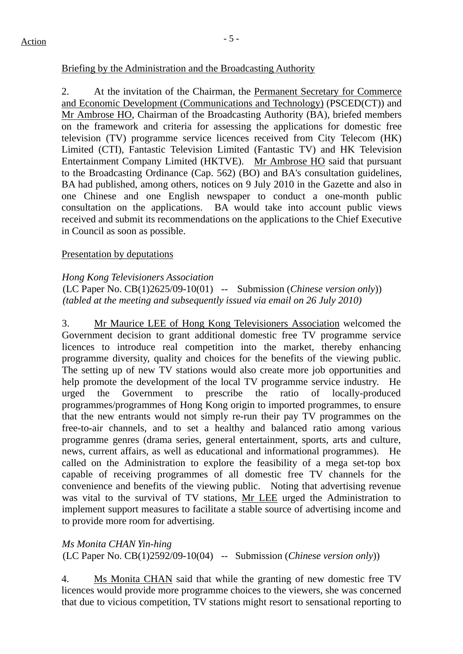#### Briefing by the Administration and the Broadcasting Authority

2. At the invitation of the Chairman, the Permanent Secretary for Commerce and Economic Development (Communications and Technology) (PSCED(CT)) and Mr Ambrose HO, Chairman of the Broadcasting Authority (BA), briefed members on the framework and criteria for assessing the applications for domestic free television (TV) programme service licences received from City Telecom (HK) Limited (CTI), Fantastic Television Limited (Fantastic TV) and HK Television Entertainment Company Limited (HKTVE). Mr Ambrose HO said that pursuant to the Broadcasting Ordinance (Cap. 562) (BO) and BA's consultation guidelines, BA had published, among others, notices on 9 July 2010 in the Gazette and also in one Chinese and one English newspaper to conduct a one-month public consultation on the applications. BA would take into account public views received and submit its recommendations on the applications to the Chief Executive in Council as soon as possible.

#### Presentation by deputations

#### *Hong Kong Televisioners Association*

(LC Paper No. CB(1)2625/09-10(01) -- Submission (*Chinese version only*)) *(tabled at the meeting and subsequently issued via email on 26 July 2010)* 

3. Mr Maurice LEE of Hong Kong Televisioners Association welcomed the Government decision to grant additional domestic free TV programme service licences to introduce real competition into the market, thereby enhancing programme diversity, quality and choices for the benefits of the viewing public. The setting up of new TV stations would also create more job opportunities and help promote the development of the local TV programme service industry. He urged the Government to prescribe the ratio of locally-produced programmes/programmes of Hong Kong origin to imported programmes, to ensure that the new entrants would not simply re-run their pay TV programmes on the free-to-air channels, and to set a healthy and balanced ratio among various programme genres (drama series, general entertainment, sports, arts and culture, news, current affairs, as well as educational and informational programmes). He called on the Administration to explore the feasibility of a mega set-top box capable of receiving programmes of all domestic free TV channels for the convenience and benefits of the viewing public. Noting that advertising revenue was vital to the survival of TV stations, Mr LEE urged the Administration to implement support measures to facilitate a stable source of advertising income and to provide more room for advertising.

*Ms Monita CHAN Yin-hing*  (LC Paper No. CB(1)2592/09-10(04) -- Submission (*Chinese version only*))

4. Ms Monita CHAN said that while the granting of new domestic free TV licences would provide more programme choices to the viewers, she was concerned that due to vicious competition, TV stations might resort to sensational reporting to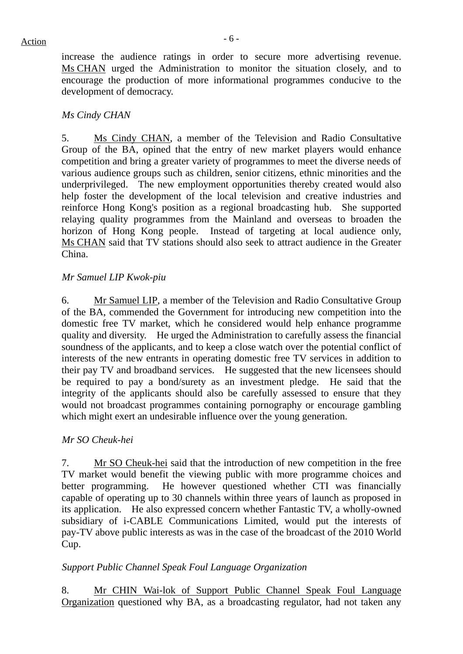increase the audience ratings in order to secure more advertising revenue. Ms CHAN urged the Administration to monitor the situation closely, and to encourage the production of more informational programmes conducive to the development of democracy.

#### *Ms Cindy CHAN*

5. Ms Cindy CHAN, a member of the Television and Radio Consultative Group of the BA, opined that the entry of new market players would enhance competition and bring a greater variety of programmes to meet the diverse needs of various audience groups such as children, senior citizens, ethnic minorities and the underprivileged. The new employment opportunities thereby created would also help foster the development of the local television and creative industries and reinforce Hong Kong's position as a regional broadcasting hub. She supported relaying quality programmes from the Mainland and overseas to broaden the horizon of Hong Kong people. Instead of targeting at local audience only, Ms CHAN said that TV stations should also seek to attract audience in the Greater China.

#### *Mr Samuel LIP Kwok-piu*

6. Mr Samuel LIP, a member of the Television and Radio Consultative Group of the BA, commended the Government for introducing new competition into the domestic free TV market, which he considered would help enhance programme quality and diversity. He urged the Administration to carefully assess the financial soundness of the applicants, and to keep a close watch over the potential conflict of interests of the new entrants in operating domestic free TV services in addition to their pay TV and broadband services. He suggested that the new licensees should be required to pay a bond/surety as an investment pledge. He said that the integrity of the applicants should also be carefully assessed to ensure that they would not broadcast programmes containing pornography or encourage gambling which might exert an undesirable influence over the young generation.

#### *Mr SO Cheuk-hei*

7. Mr SO Cheuk-hei said that the introduction of new competition in the free TV market would benefit the viewing public with more programme choices and better programming. He however questioned whether CTI was financially capable of operating up to 30 channels within three years of launch as proposed in its application. He also expressed concern whether Fantastic TV, a wholly-owned subsidiary of i-CABLE Communications Limited, would put the interests of pay-TV above public interests as was in the case of the broadcast of the 2010 World Cup.

## *Support Public Channel Speak Foul Language Organization*

8. Mr CHIN Wai-lok of Support Public Channel Speak Foul Language Organization questioned why BA, as a broadcasting regulator, had not taken any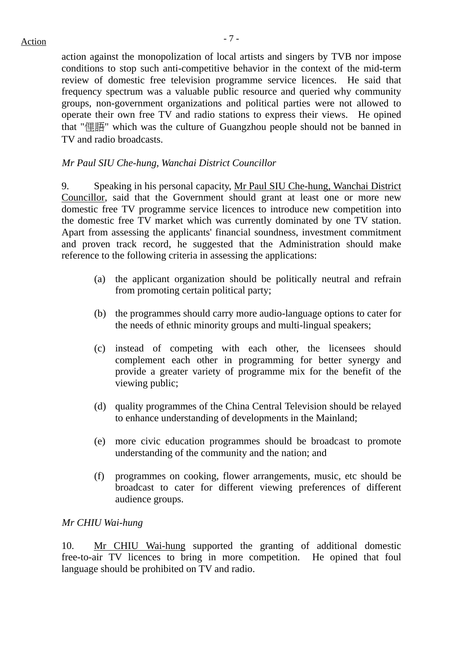action against the monopolization of local artists and singers by TVB nor impose conditions to stop such anti-competitive behavior in the context of the mid-term review of domestic free television programme service licences. He said that frequency spectrum was a valuable public resource and queried why community groups, non-government organizations and political parties were not allowed to operate their own free TV and radio stations to express their views. He opined that "俚語" which was the culture of Guangzhou people should not be banned in TV and radio broadcasts.

#### *Mr Paul SIU Che-hung, Wanchai District Councillor*

9. Speaking in his personal capacity, Mr Paul SIU Che-hung, Wanchai District Councillor, said that the Government should grant at least one or more new domestic free TV programme service licences to introduce new competition into the domestic free TV market which was currently dominated by one TV station. Apart from assessing the applicants' financial soundness, investment commitment and proven track record, he suggested that the Administration should make reference to the following criteria in assessing the applications:

- (a) the applicant organization should be politically neutral and refrain from promoting certain political party;
- (b) the programmes should carry more audio-language options to cater for the needs of ethnic minority groups and multi-lingual speakers;
- (c) instead of competing with each other, the licensees should complement each other in programming for better synergy and provide a greater variety of programme mix for the benefit of the viewing public;
- (d) quality programmes of the China Central Television should be relayed to enhance understanding of developments in the Mainland;
- (e) more civic education programmes should be broadcast to promote understanding of the community and the nation; and
- (f) programmes on cooking, flower arrangements, music, etc should be broadcast to cater for different viewing preferences of different audience groups.

#### *Mr CHIU Wai-hung*

10. Mr CHIU Wai-hung supported the granting of additional domestic free-to-air TV licences to bring in more competition. He opined that foul language should be prohibited on TV and radio.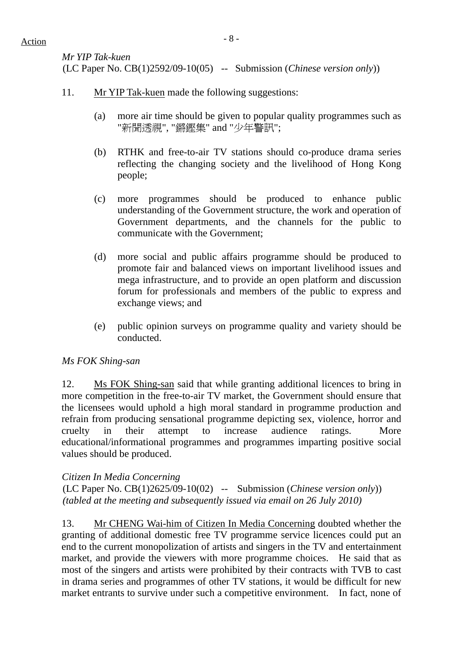*Mr YIP Tak-kuen*  (LC Paper No. CB(1)2592/09-10(05) -- Submission (*Chinese version only*))

- 11. Mr YIP Tak-kuen made the following suggestions:
	- (a) more air time should be given to popular quality programmes such as "新聞透視", "鏘鏗集" and "少年警訊";
	- (b) RTHK and free-to-air TV stations should co-produce drama series reflecting the changing society and the livelihood of Hong Kong people;
	- (c) more programmes should be produced to enhance public understanding of the Government structure, the work and operation of Government departments, and the channels for the public to communicate with the Government;
	- (d) more social and public affairs programme should be produced to promote fair and balanced views on important livelihood issues and mega infrastructure, and to provide an open platform and discussion forum for professionals and members of the public to express and exchange views; and
	- (e) public opinion surveys on programme quality and variety should be conducted.

## *Ms FOK Shing-san*

12. Ms FOK Shing-san said that while granting additional licences to bring in more competition in the free-to-air TV market, the Government should ensure that the licensees would uphold a high moral standard in programme production and refrain from producing sensational programme depicting sex, violence, horror and cruelty in their attempt to increase audience ratings. More educational/informational programmes and programmes imparting positive social values should be produced.

## *Citizen In Media Concerning*

(LC Paper No. CB(1)2625/09-10(02) -- Submission (*Chinese version only*)) *(tabled at the meeting and subsequently issued via email on 26 July 2010)* 

13. Mr CHENG Wai-him of Citizen In Media Concerning doubted whether the granting of additional domestic free TV programme service licences could put an end to the current monopolization of artists and singers in the TV and entertainment market, and provide the viewers with more programme choices. He said that as most of the singers and artists were prohibited by their contracts with TVB to cast in drama series and programmes of other TV stations, it would be difficult for new market entrants to survive under such a competitive environment. In fact, none of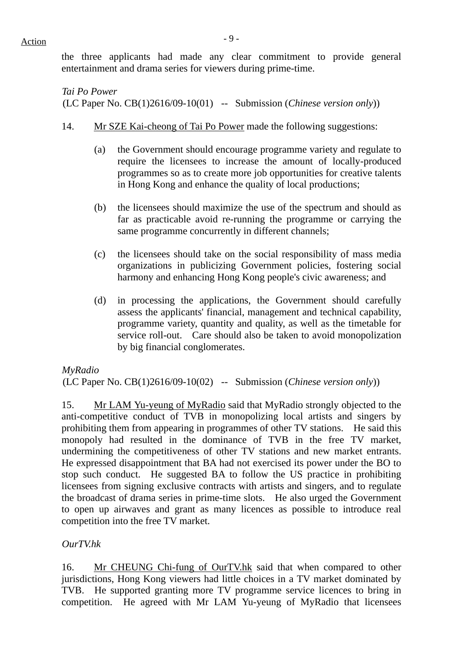the three applicants had made any clear commitment to provide general entertainment and drama series for viewers during prime-time.

*Tai Po Power*  (LC Paper No. CB(1)2616/09-10(01) -- Submission (*Chinese version only*))

- 14. Mr SZE Kai-cheong of Tai Po Power made the following suggestions:
	- (a) the Government should encourage programme variety and regulate to require the licensees to increase the amount of locally-produced programmes so as to create more job opportunities for creative talents in Hong Kong and enhance the quality of local productions;
	- (b) the licensees should maximize the use of the spectrum and should as far as practicable avoid re-running the programme or carrying the same programme concurrently in different channels;
	- (c) the licensees should take on the social responsibility of mass media organizations in publicizing Government policies, fostering social harmony and enhancing Hong Kong people's civic awareness; and
	- (d) in processing the applications, the Government should carefully assess the applicants' financial, management and technical capability, programme variety, quantity and quality, as well as the timetable for service roll-out. Care should also be taken to avoid monopolization by big financial conglomerates.

*MyRadio* 

(LC Paper No. CB(1)2616/09-10(02) -- Submission (*Chinese version only*))

15. Mr LAM Yu-yeung of MyRadio said that MyRadio strongly objected to the anti-competitive conduct of TVB in monopolizing local artists and singers by prohibiting them from appearing in programmes of other TV stations. He said this monopoly had resulted in the dominance of TVB in the free TV market, undermining the competitiveness of other TV stations and new market entrants. He expressed disappointment that BA had not exercised its power under the BO to stop such conduct. He suggested BA to follow the US practice in prohibiting licensees from signing exclusive contracts with artists and singers, and to regulate the broadcast of drama series in prime-time slots. He also urged the Government to open up airwaves and grant as many licences as possible to introduce real competition into the free TV market.

*OurTV.hk* 

16. Mr CHEUNG Chi-fung of OurTV.hk said that when compared to other jurisdictions, Hong Kong viewers had little choices in a TV market dominated by TVB. He supported granting more TV programme service licences to bring in competition. He agreed with Mr LAM Yu-yeung of MyRadio that licensees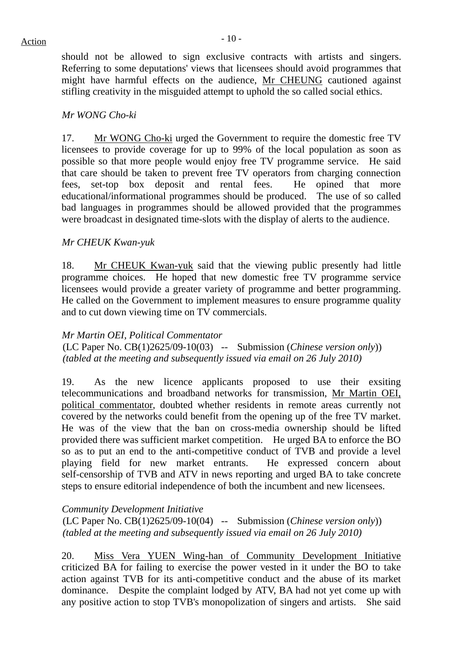should not be allowed to sign exclusive contracts with artists and singers. Referring to some deputations' views that licensees should avoid programmes that might have harmful effects on the audience, Mr CHEUNG cautioned against stifling creativity in the misguided attempt to uphold the so called social ethics.

#### *Mr WONG Cho-ki*

17. Mr WONG Cho-ki urged the Government to require the domestic free TV licensees to provide coverage for up to 99% of the local population as soon as possible so that more people would enjoy free TV programme service. He said that care should be taken to prevent free TV operators from charging connection fees, set-top box deposit and rental fees. He opined that more educational/informational programmes should be produced. The use of so called bad languages in programmes should be allowed provided that the programmes were broadcast in designated time-slots with the display of alerts to the audience.

## *Mr CHEUK Kwan-yuk*

18. Mr CHEUK Kwan-yuk said that the viewing public presently had little programme choices. He hoped that new domestic free TV programme service licensees would provide a greater variety of programme and better programming. He called on the Government to implement measures to ensure programme quality and to cut down viewing time on TV commercials.

#### *Mr Martin OEI, Political Commentator*

(LC Paper No. CB(1)2625/09-10(03) -- Submission (*Chinese version only*)) *(tabled at the meeting and subsequently issued via email on 26 July 2010)* 

19. As the new licence applicants proposed to use their exsiting telecommunications and broadband networks for transmission, Mr Martin OEI, political commentator, doubted whether residents in remote areas currently not covered by the networks could benefit from the opening up of the free TV market. He was of the view that the ban on cross-media ownership should be lifted provided there was sufficient market competition. He urged BA to enforce the BO so as to put an end to the anti-competitive conduct of TVB and provide a level playing field for new market entrants. He expressed concern about self-censorship of TVB and ATV in news reporting and urged BA to take concrete steps to ensure editorial independence of both the incumbent and new licensees.

#### *Community Development Initiative*

(LC Paper No. CB(1)2625/09-10(04) -- Submission (*Chinese version only*)) *(tabled at the meeting and subsequently issued via email on 26 July 2010)* 

20. Miss Vera YUEN Wing-han of Community Development Initiative criticized BA for failing to exercise the power vested in it under the BO to take action against TVB for its anti-competitive conduct and the abuse of its market dominance. Despite the complaint lodged by ATV, BA had not yet come up with any positive action to stop TVB's monopolization of singers and artists. She said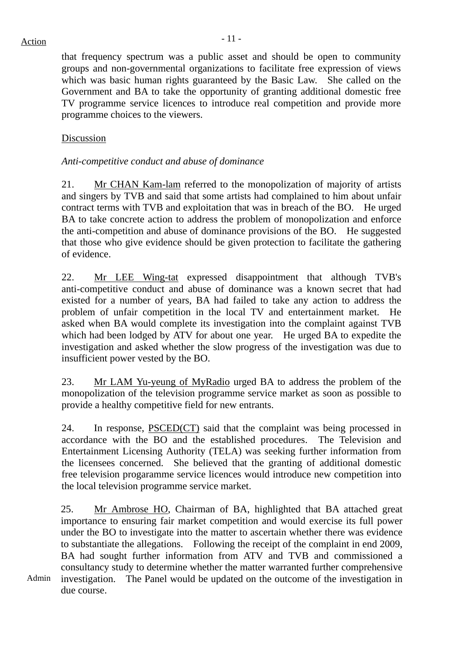that frequency spectrum was a public asset and should be open to community groups and non-governmental organizations to facilitate free expression of views which was basic human rights guaranteed by the Basic Law. She called on the Government and BA to take the opportunity of granting additional domestic free TV programme service licences to introduce real competition and provide more programme choices to the viewers.

## Discussion

## *Anti-competitive conduct and abuse of dominance*

21. Mr CHAN Kam-lam referred to the monopolization of majority of artists and singers by TVB and said that some artists had complained to him about unfair contract terms with TVB and exploitation that was in breach of the BO. He urged BA to take concrete action to address the problem of monopolization and enforce the anti-competition and abuse of dominance provisions of the BO. He suggested that those who give evidence should be given protection to facilitate the gathering of evidence.

22. Mr LEE Wing-tat expressed disappointment that although TVB's anti-competitive conduct and abuse of dominance was a known secret that had existed for a number of years, BA had failed to take any action to address the problem of unfair competition in the local TV and entertainment market. He asked when BA would complete its investigation into the complaint against TVB which had been lodged by ATV for about one year. He urged BA to expedite the investigation and asked whether the slow progress of the investigation was due to insufficient power vested by the BO.

23. Mr LAM Yu-yeung of MyRadio urged BA to address the problem of the monopolization of the television programme service market as soon as possible to provide a healthy competitive field for new entrants.

24. In response, PSCED(CT) said that the complaint was being processed in accordance with the BO and the established procedures. The Television and Entertainment Licensing Authority (TELA) was seeking further information from the licensees concerned. She believed that the granting of additional domestic free television progaramme service licences would introduce new competition into the local television programme service market.

25. Mr Ambrose HO, Chairman of BA, highlighted that BA attached great importance to ensuring fair market competition and would exercise its full power under the BO to investigate into the matter to ascertain whether there was evidence to substantiate the allegations. Following the receipt of the complaint in end 2009, BA had sought further information from ATV and TVB and commissioned a consultancy study to determine whether the matter warranted further comprehensive investigation. The Panel would be updated on the outcome of the investigation in due course.

Admin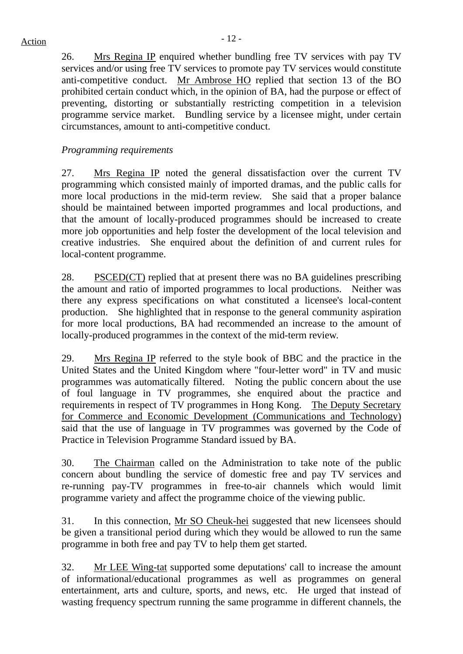26. Mrs Regina IP enquired whether bundling free TV services with pay TV services and/or using free TV services to promote pay TV services would constitute anti-competitive conduct. Mr Ambrose HO replied that section 13 of the BO prohibited certain conduct which, in the opinion of BA, had the purpose or effect of preventing, distorting or substantially restricting competition in a television programme service market. Bundling service by a licensee might, under certain circumstances, amount to anti-competitive conduct.

## *Programming requirements*

27. Mrs Regina IP noted the general dissatisfaction over the current TV programming which consisted mainly of imported dramas, and the public calls for more local productions in the mid-term review. She said that a proper balance should be maintained between imported programmes and local productions, and that the amount of locally-produced programmes should be increased to create more job opportunities and help foster the development of the local television and creative industries. She enquired about the definition of and current rules for local-content programme.

28. PSCED(CT) replied that at present there was no BA guidelines prescribing the amount and ratio of imported programmes to local productions. Neither was there any express specifications on what constituted a licensee's local-content production. She highlighted that in response to the general community aspiration for more local productions, BA had recommended an increase to the amount of locally-produced programmes in the context of the mid-term review.

29. Mrs Regina IP referred to the style book of BBC and the practice in the United States and the United Kingdom where "four-letter word" in TV and music programmes was automatically filtered. Noting the public concern about the use of foul language in TV programmes, she enquired about the practice and requirements in respect of TV programmes in Hong Kong. The Deputy Secretary for Commerce and Economic Development (Communications and Technology) said that the use of language in TV programmes was governed by the Code of Practice in Television Programme Standard issued by BA.

30. The Chairman called on the Administration to take note of the public concern about bundling the service of domestic free and pay TV services and re-running pay-TV programmes in free-to-air channels which would limit programme variety and affect the programme choice of the viewing public.

31. In this connection, Mr SO Cheuk-hei suggested that new licensees should be given a transitional period during which they would be allowed to run the same programme in both free and pay TV to help them get started.

32. Mr LEE Wing-tat supported some deputations' call to increase the amount of informational/educational programmes as well as programmes on general entertainment, arts and culture, sports, and news, etc. He urged that instead of wasting frequency spectrum running the same programme in different channels, the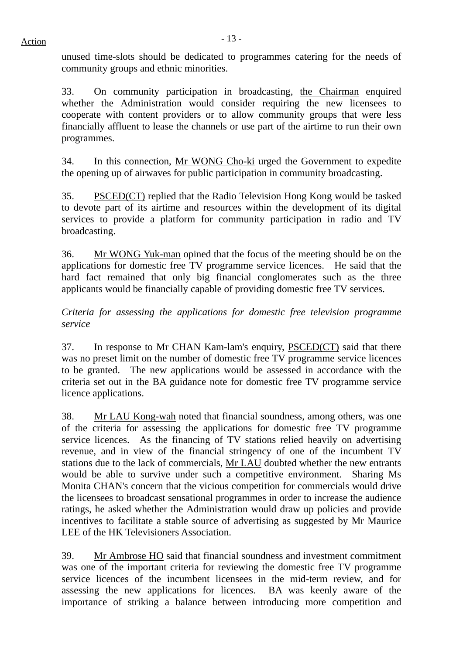unused time-slots should be dedicated to programmes catering for the needs of community groups and ethnic minorities.

33. On community participation in broadcasting, the Chairman enquired whether the Administration would consider requiring the new licensees to cooperate with content providers or to allow community groups that were less financially affluent to lease the channels or use part of the airtime to run their own programmes.

34. In this connection, Mr WONG Cho-ki urged the Government to expedite the opening up of airwaves for public participation in community broadcasting.

35. PSCED(CT) replied that the Radio Television Hong Kong would be tasked to devote part of its airtime and resources within the development of its digital services to provide a platform for community participation in radio and TV broadcasting.

36. Mr WONG Yuk-man opined that the focus of the meeting should be on the applications for domestic free TV programme service licences. He said that the hard fact remained that only big financial conglomerates such as the three applicants would be financially capable of providing domestic free TV services.

*Criteria for assessing the applications for domestic free television programme service* 

37. In response to Mr CHAN Kam-lam's enquiry, PSCED(CT) said that there was no preset limit on the number of domestic free TV programme service licences to be granted. The new applications would be assessed in accordance with the criteria set out in the BA guidance note for domestic free TV programme service licence applications.

38. Mr LAU Kong-wah noted that financial soundness, among others, was one of the criteria for assessing the applications for domestic free TV programme service licences. As the financing of TV stations relied heavily on advertising revenue, and in view of the financial stringency of one of the incumbent TV stations due to the lack of commercials, Mr LAU doubted whether the new entrants would be able to survive under such a competitive environment. Sharing Ms Monita CHAN's concern that the vicious competition for commercials would drive the licensees to broadcast sensational programmes in order to increase the audience ratings, he asked whether the Administration would draw up policies and provide incentives to facilitate a stable source of advertising as suggested by Mr Maurice LEE of the HK Televisioners Association.

39. Mr Ambrose HO said that financial soundness and investment commitment was one of the important criteria for reviewing the domestic free TV programme service licences of the incumbent licensees in the mid-term review, and for assessing the new applications for licences. BA was keenly aware of the importance of striking a balance between introducing more competition and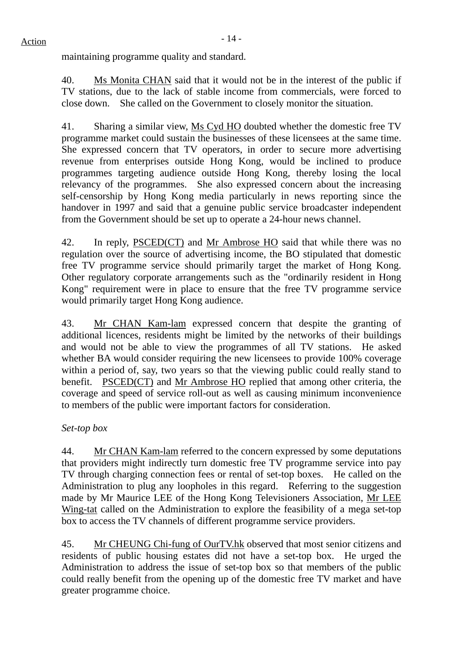maintaining programme quality and standard.

40. Ms Monita CHAN said that it would not be in the interest of the public if TV stations, due to the lack of stable income from commercials, were forced to close down. She called on the Government to closely monitor the situation.

41. Sharing a similar view, Ms Cyd HO doubted whether the domestic free TV programme market could sustain the businesses of these licensees at the same time. She expressed concern that TV operators, in order to secure more advertising revenue from enterprises outside Hong Kong, would be inclined to produce programmes targeting audience outside Hong Kong, thereby losing the local relevancy of the programmes. She also expressed concern about the increasing self-censorship by Hong Kong media particularly in news reporting since the handover in 1997 and said that a genuine public service broadcaster independent from the Government should be set up to operate a 24-hour news channel.

42. In reply, PSCED(CT) and Mr Ambrose HO said that while there was no regulation over the source of advertising income, the BO stipulated that domestic free TV programme service should primarily target the market of Hong Kong. Other regulatory corporate arrangements such as the "ordinarily resident in Hong Kong" requirement were in place to ensure that the free TV programme service would primarily target Hong Kong audience.

43. Mr CHAN Kam-lam expressed concern that despite the granting of additional licences, residents might be limited by the networks of their buildings and would not be able to view the programmes of all TV stations. He asked whether BA would consider requiring the new licensees to provide 100% coverage within a period of, say, two years so that the viewing public could really stand to benefit. PSCED(CT) and Mr Ambrose HO replied that among other criteria, the coverage and speed of service roll-out as well as causing minimum inconvenience to members of the public were important factors for consideration.

## *Set-top box*

44. Mr CHAN Kam-lam referred to the concern expressed by some deputations that providers might indirectly turn domestic free TV programme service into pay TV through charging connection fees or rental of set-top boxes. He called on the Administration to plug any loopholes in this regard. Referring to the suggestion made by Mr Maurice LEE of the Hong Kong Televisioners Association, Mr LEE Wing-tat called on the Administration to explore the feasibility of a mega set-top box to access the TV channels of different programme service providers.

45. Mr CHEUNG Chi-fung of OurTV.hk observed that most senior citizens and residents of public housing estates did not have a set-top box. He urged the Administration to address the issue of set-top box so that members of the public could really benefit from the opening up of the domestic free TV market and have greater programme choice.